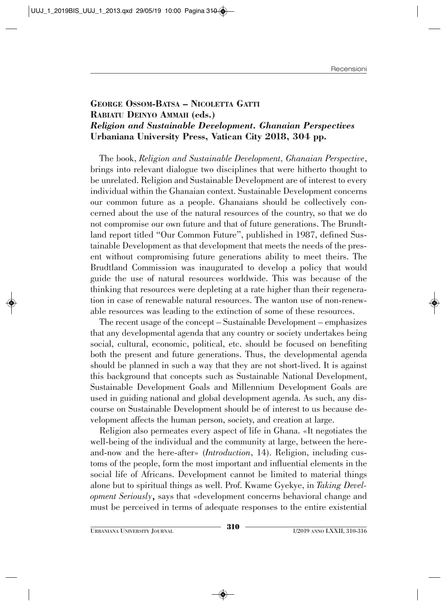## **GEORGE OSSOM-BATSA – NICOLETTA GATTI RABIATU DEINYO AMMAH (eds.)** *Religion and Sustainable Development. Ghanaian Perspectives* **Urbaniana University Press, Vatican City 2018, 304 pp.**

The book, *Religion and Sustainable Development, Ghanaian Perspective*, brings into relevant dialogue two disciplines that were hitherto thought to be unrelated. Religion and Sustainable Development are of interest to every individual within the Ghanaian context. Sustainable Development concerns our common future as a people. Ghanaians should be collectively concerned about the use of the natural resources of the country, so that we do not compromise our own future and that of future generations. The Brundtland report titled "Our Common Future", published in 1987, defined Sustainable Development as that development that meets the needs of the present without compromising future generations ability to meet theirs. The Brudtland Commission was inaugurated to develop a policy that would guide the use of natural resources worldwide. This was because of the thinking that resources were depleting at a rate higher than their regeneration in case of renewable natural resources. The wanton use of non-renewable resources was leading to the extinction of some of these resources.

The recent usage of the concept – Sustainable Development – emphasizes that any developmental agenda that any country or society undertakes being social, cultural, economic, political, etc. should be focused on benefiting both the present and future generations. Thus, the developmental agenda should be planned in such a way that they are not short-lived. It is against this background that concepts such as Sustainable National Development, Sustainable Development Goals and Millennium Development Goals are used in guiding national and global development agenda. As such, any discourse on Sustainable Development should be of interest to us because development affects the human person, society, and creation at large.

Religion also permeates every aspect of life in Ghana. «It negotiates the well-being of the individual and the community at large, between the hereand-now and the here-after» (*Introduction*, 14). Religion, including customs of the people, form the most important and influential elements in the social life of Africans. Development cannot be limited to material things alone but to spiritual things as well. Prof. Kwame Gyekye, in *Taking Development Seriously*, says that «development concerns behavioral change and must be perceived in terms of adequate responses to the entire existential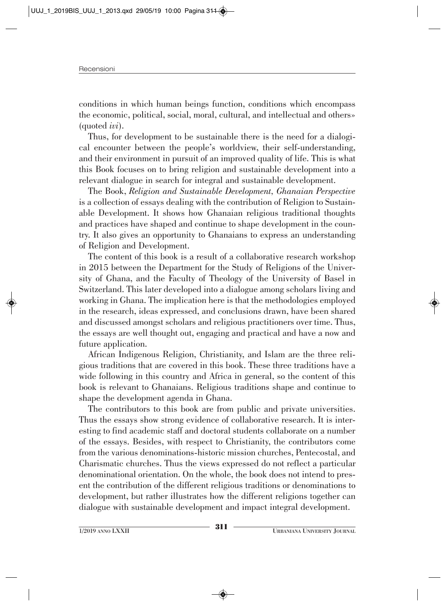conditions in which human beings function, conditions which encompass the economic, political, social, moral, cultural, and intellectual and others» (quoted *ivi*).

Thus, for development to be sustainable there is the need for a dialogical encounter between the people's worldview, their self-understanding, and their environment in pursuit of an improved quality of life. This is what this Book focuses on to bring religion and sustainable development into a relevant dialogue in search for integral and sustainable development.

The Book, *Religion and Sustainable Development, Ghanaian Perspective* is a collection of essays dealing with the contribution of Religion to Sustainable Development. It shows how Ghanaian religious traditional thoughts and practices have shaped and continue to shape development in the country. It also gives an opportunity to Ghanaians to express an understanding of Religion and Development.

The content of this book is a result of a collaborative research workshop in 2015 between the Department for the Study of Religions of the University of Ghana, and the Faculty of Theology of the University of Basel in Switzerland. This later developed into a dialogue among scholars living and working in Ghana. The implication here is that the methodologies employed in the research, ideas expressed, and conclusions drawn, have been shared and discussed amongst scholars and religious practitioners over time. Thus, the essays are well thought out, engaging and practical and have a now and future application.

African Indigenous Religion, Christianity, and Islam are the three religious traditions that are covered in this book. These three traditions have a wide following in this country and Africa in general, so the content of this book is relevant to Ghanaians. Religious traditions shape and continue to shape the development agenda in Ghana.

The contributors to this book are from public and private universities. Thus the essays show strong evidence of collaborative research. It is interesting to find academic staff and doctoral students collaborate on a number of the essays. Besides, with respect to Christianity, the contributors come from the various denominations-historic mission churches, Pentecostal, and Charismatic churches. Thus the views expressed do not reflect a particular denominational orientation. On the whole, the book does not intend to present the contribution of the different religious traditions or denominations to development, but rather illustrates how the different religions together can dialogue with sustainable development and impact integral development.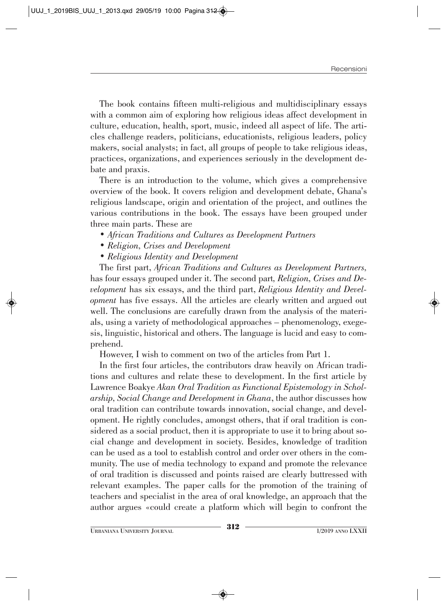The book contains fifteen multi-religious and multidisciplinary essays with a common aim of exploring how religious ideas affect development in culture, education, health, sport, music, indeed all aspect of life. The articles challenge readers, politicians, educationists, religious leaders, policy makers, social analysts; in fact, all groups of people to take religious ideas, practices, organizations, and experiences seriously in the development debate and praxis.

There is an introduction to the volume, which gives a comprehensive overview of the book. It covers religion and development debate, Ghana's religious landscape, origin and orientation of the project, and outlines the various contributions in the book. The essays have been grouped under three main parts. These are

- *African Traditions and Cultures as Development Partners*
- *Religion, Crises and Development*
- *Religious Identity and Development*

The first part, *African Traditions and Cultures as Development Partners,* has four essays grouped under it. The second part*, Religion, Crises and Development* has six essays, and the third part, *Religious Identity and Development* has five essays. All the articles are clearly written and argued out well. The conclusions are carefully drawn from the analysis of the materials, using a variety of methodological approaches – phenomenology, exegesis, linguistic, historical and others. The language is lucid and easy to comprehend.

However, I wish to comment on two of the articles from Part 1.

In the first four articles, the contributors draw heavily on African traditions and cultures and relate these to development. In the first article by Lawrence Boakye *Akan Oral Tradition as Functional Epistemology in Scholarship, Social Change and Development in Ghana*, the author discusses how oral tradition can contribute towards innovation, social change, and development. He rightly concludes, amongst others, that if oral tradition is considered as a social product, then it is appropriate to use it to bring about social change and development in society. Besides, knowledge of tradition can be used as a tool to establish control and order over others in the community. The use of media technology to expand and promote the relevance of oral tradition is discussed and points raised are clearly buttressed with relevant examples. The paper calls for the promotion of the training of teachers and specialist in the area of oral knowledge, an approach that the author argues «could create a platform which will begin to confront the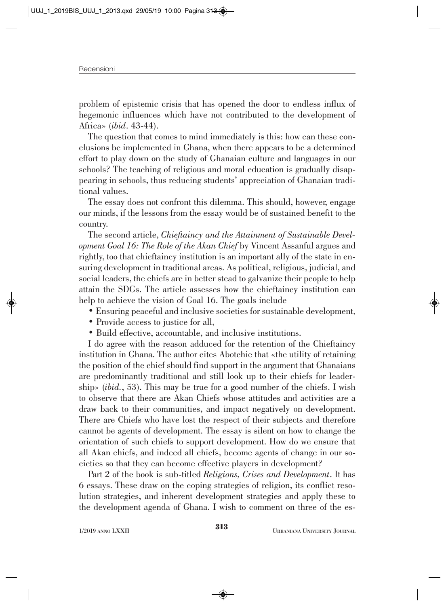problem of epistemic crisis that has opened the door to endless influx of hegemonic influences which have not contributed to the development of Africa» (*ibid*. 43-44).

The question that comes to mind immediately is this: how can these conclusions be implemented in Ghana, when there appears to be a determined effort to play down on the study of Ghanaian culture and languages in our schools? The teaching of religious and moral education is gradually disappearing in schools, thus reducing students' appreciation of Ghanaian traditional values.

The essay does not confront this dilemma. This should, however, engage our minds, if the lessons from the essay would be of sustained benefit to the country.

The second article, *Chieftaincy and the Attainment of Sustainable Development Goal 16: The Role of the Akan Chief* by Vincent Assanful argues and rightly, too that chieftaincy institution is an important ally of the state in ensuring development in traditional areas. As political, religious, judicial, and social leaders, the chiefs are in better stead to galvanize their people to help attain the SDGs. The article assesses how the chieftaincy institution can help to achieve the vision of Goal 16. The goals include

- Ensuring peaceful and inclusive societies for sustainable development,
- Provide access to justice for all.
- Build effective, accountable, and inclusive institutions.

I do agree with the reason adduced for the retention of the Chieftaincy institution in Ghana. The author cites Abotchie that «the utility of retaining the position of the chief should find support in the argument that Ghanaians are predominantly traditional and still look up to their chiefs for leadership» (*ibid.*, 53). This may be true for a good number of the chiefs. I wish to observe that there are Akan Chiefs whose attitudes and activities are a draw back to their communities, and impact negatively on development. There are Chiefs who have lost the respect of their subjects and therefore cannot be agents of development. The essay is silent on how to change the orientation of such chiefs to support development. How do we ensure that all Akan chiefs, and indeed all chiefs, become agents of change in our societies so that they can become effective players in development?

Part 2 of the book is sub-titled *Religions, Crises and Development*. It has 6 essays. These draw on the coping strategies of religion, its conflict resolution strategies, and inherent development strategies and apply these to the development agenda of Ghana. I wish to comment on three of the es-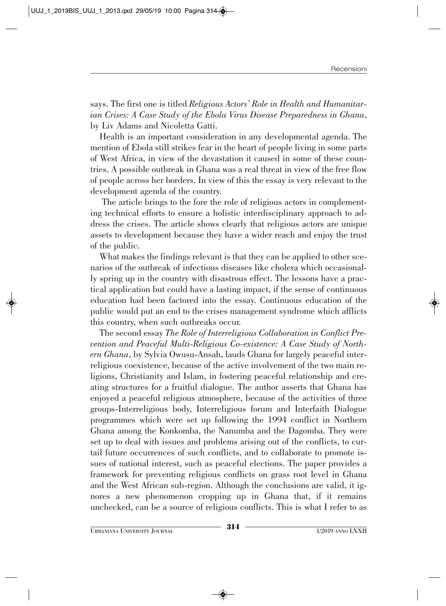says. The first one is titled *Religious Actors' Role in Health and Humanitarian Crises: A Case Study of the Ebola Virus Disease Preparedness in Ghana*, by Liv Adams and Nicoletta Gatti.

Health is an important consideration in any developmental agenda. The mention of Ebola still strikes fear in the heart of people living in some parts of West Africa, in view of the devastation it caused in some of these countries. A possible outbreak in Ghana was a real threat in view of the free flow of people across her borders. In view of this the essay is very relevant to the development agenda of the country.

The article brings to the fore the role of religious actors in complementing technical efforts to ensure a holistic interdisciplinary approach to address the crises. The article shows clearly that religious actors are unique assets to development because they have a wider reach and enjoy the trust of the public.

What makes the findings relevant is that they can be applied to other scenarios of the outbreak of infectious diseases like cholera which occasionally spring up in the country with disastrous effect. The lessons have a practical application but could have a lasting impact, if the sense of continuous education had been factored into the essay. Continuous education of the public would put an end to the crises management syndrome which afflicts this country, when such outbreaks occur.

The second essay *The Role of Interreligious Collaboration in Conflict Prevention and Peaceful Multi-Religious Co-existence: A Case Study of Northern Ghana*, by Sylvia Owusu-Ansah, lauds Ghana for largely peaceful interreligious coexistence, because of the active involvement of the two main religions, Christianity and Islam, in fostering peaceful relationship and creating structures for a fruitful dialogue. The author asserts that Ghana has enjoyed a peaceful religious atmosphere, because of the activities of three groups-Interreligious body, Interreligious forum and Interfaith Dialogue programmes which were set up following the 1994 conflict in Northern Ghana among the Konkomba, the Nanumba and the Dagomba. They were set up to deal with issues and problems arising out of the conflicts, to curtail future occurrences of such conflicts, and to collaborate to promote issues of national interest, such as peaceful elections. The paper provides a framework for preventing religious conflicts on grass root level in Ghana and the West African sub-region. Although the conclusions are valid, it ignores a new phenomenon cropping up in Ghana that, if it remains unchecked, can be a source of religious conflicts. This is what I refer to as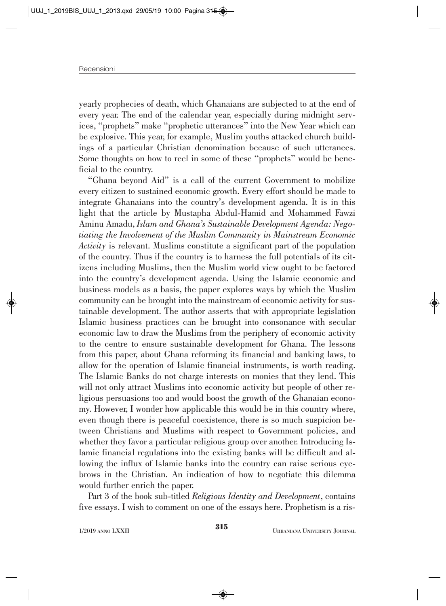yearly prophecies of death, which Ghanaians are subjected to at the end of every year. The end of the calendar year, especially during midnight services, "prophets" make "prophetic utterances" into the New Year which can be explosive. This year, for example, Muslim youths attacked church buildings of a particular Christian denomination because of such utterances. Some thoughts on how to reel in some of these "prophets" would be beneficial to the country.

"Ghana beyond Aid" is a call of the current Government to mobilize every citizen to sustained economic growth. Every effort should be made to integrate Ghanaians into the country's development agenda. It is in this light that the article by Mustapha Abdul-Hamid and Mohammed Fawzi Aminu Amadu, *Islam and Ghana's Sustainable Development Agenda: Negotiating the Involvement of the Muslim Community in Mainstream Economic Activity* is relevant. Muslims constitute a significant part of the population of the country. Thus if the country is to harness the full potentials of its citizens including Muslims, then the Muslim world view ought to be factored into the country's development agenda. Using the Islamic economic and business models as a basis, the paper explores ways by which the Muslim community can be brought into the mainstream of economic activity for sustainable development. The author asserts that with appropriate legislation Islamic business practices can be brought into consonance with secular economic law to draw the Muslims from the periphery of economic activity to the centre to ensure sustainable development for Ghana. The lessons from this paper, about Ghana reforming its financial and banking laws, to allow for the operation of Islamic financial instruments, is worth reading. The Islamic Banks do not charge interests on monies that they lend. This will not only attract Muslims into economic activity but people of other religious persuasions too and would boost the growth of the Ghanaian economy. However, I wonder how applicable this would be in this country where, even though there is peaceful coexistence, there is so much suspicion between Christians and Muslims with respect to Government policies, and whether they favor a particular religious group over another. Introducing Islamic financial regulations into the existing banks will be difficult and allowing the influx of Islamic banks into the country can raise serious eyebrows in the Christian. An indication of how to negotiate this dilemma would further enrich the paper.

Part 3 of the book sub-titled *Religious Identity and Development*, contains five essays. I wish to comment on one of the essays here. Prophetism is a ris-